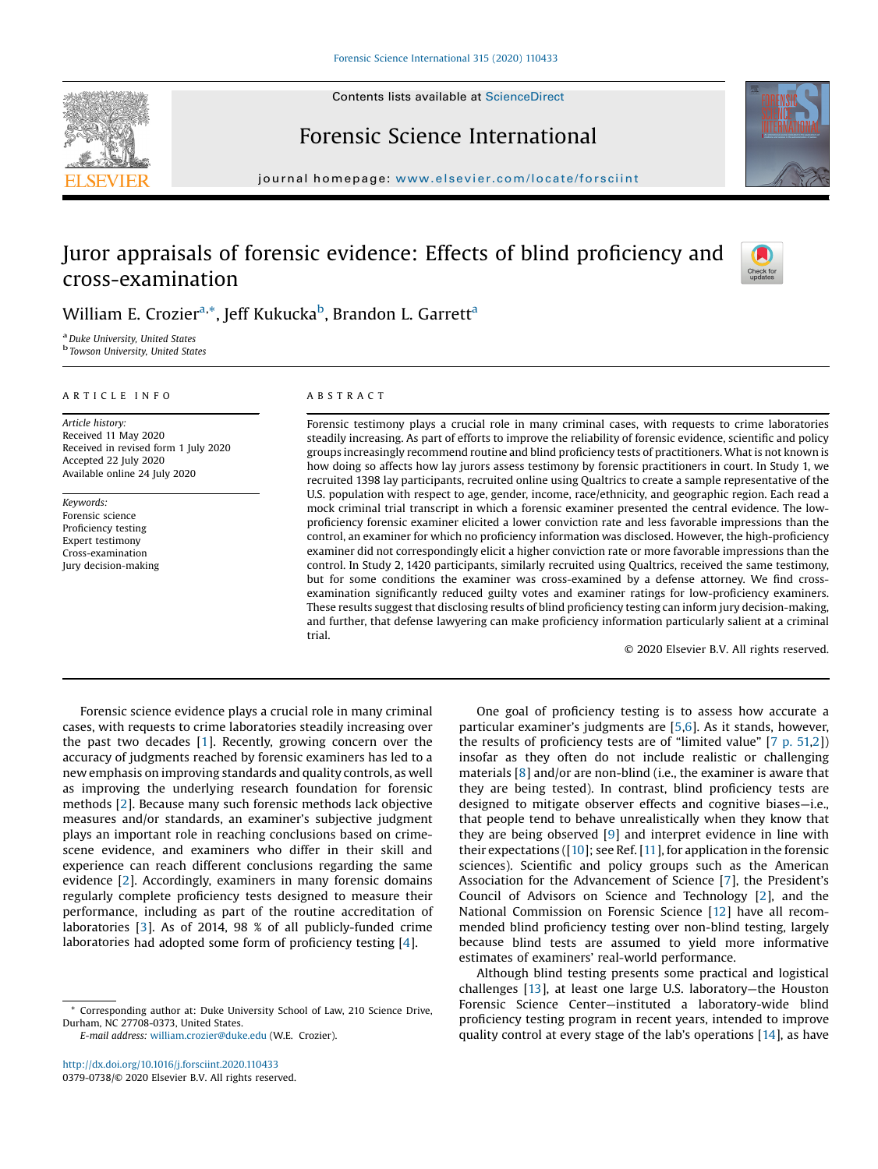



# Forensic Science International

journal homepage: <www.elsevier.com/locate/forsciint>

# Juror appraisals of forensic evidence: Effects of blind proficiency and cross-examination



William E. Crozier<sup>a,\*</sup>, Jeff Kukucka<sup>b</sup>, Brandon L. Garrett<sup>a</sup>

<sup>a</sup> Duke University, United States<br><sup>b</sup> Towson University, United States

#### A R T I C L E I N F O

Article history: Received 11 May 2020 Received in revised form 1 July 2020 Accepted 22 July 2020 Available online 24 July 2020

Keywords: Forensic science Proficiency testing Expert testimony Cross-examination Jury decision-making

# A B S T R A C T

Forensic testimony plays a crucial role in many criminal cases, with requests to crime laboratories steadily increasing. As part of efforts to improve the reliability of forensic evidence, scientific and policy groups increasingly recommend routine and blind proficiency tests of practitioners. What is not known is how doing so affects how lay jurors assess testimony by forensic practitioners in court. In Study 1, we recruited 1398 lay participants, recruited online using Qualtrics to create a sample representative of the U.S. population with respect to age, gender, income, race/ethnicity, and geographic region. Each read a mock criminal trial transcript in which a forensic examiner presented the central evidence. The lowproficiency forensic examiner elicited a lower conviction rate and less favorable impressions than the control, an examiner for which no proficiency information was disclosed. However, the high-proficiency examiner did not correspondingly elicit a higher conviction rate or more favorable impressions than the control. In Study 2, 1420 participants, similarly recruited using Qualtrics, received the same testimony, but for some conditions the examiner was cross-examined by a defense attorney. We find crossexamination significantly reduced guilty votes and examiner ratings for low-proficiency examiners. These results suggest that disclosing results of blind proficiency testing can inform jury decision-making, and further, that defense lawyering can make proficiency information particularly salient at a criminal trial.

© 2020 Elsevier B.V. All rights reserved.

Forensic science evidence plays a crucial role in many criminal cases, with requests to crime laboratories steadily increasing over the past two decades [[1](#page-9-0)]. Recently, growing concern over the accuracy of judgments reached by forensic examiners has led to a new emphasis on improving standards and quality controls, as well as improving the underlying research foundation for forensic methods [[2](#page-9-0)]. Because many such forensic methods lack objective measures and/or standards, an examiner's subjective judgment plays an important role in reaching conclusions based on crimescene evidence, and examiners who differ in their skill and experience can reach different conclusions regarding the same evidence [\[2](#page-9-0)]. Accordingly, examiners in many forensic domains regularly complete proficiency tests designed to measure their performance, including as part of the routine accreditation of laboratories [\[3](#page-9-0)]. As of 2014, 98 % of all publicly-funded crime laboratories had adopted some form of proficiency testing [[4](#page-9-0)].

E-mail address: [william.crozier@duke.edu](mailto:william.crozier@duke.edu) (W.E. Crozier).

<http://dx.doi.org/10.1016/j.forsciint.2020.110433> 0379-0738/© 2020 Elsevier B.V. All rights reserved.

One goal of proficiency testing is to assess how accurate a particular examiner's judgments are [[5,6\]](#page-10-0). As it stands, however, the results of proficiency tests are of "limited value" [7 p. [51,](#page-10-0)[2](#page-9-0)]) insofar as they often do not include realistic or challenging materials [\[8](#page-10-0)] and/or are non-blind (i.e., the examiner is aware that they are being tested). In contrast, blind proficiency tests are designed to mitigate observer effects and cognitive biases—i.e., that people tend to behave unrealistically when they know that they are being observed [[9](#page-10-0)] and interpret evidence in line with their expectations ( $[10]$ ; see Ref.  $[11]$  $[11]$ , for application in the forensic sciences). Scientific and policy groups such as the American Association for the Advancement of Science [\[7](#page-10-0)], the President's Council of Advisors on Science and Technology [[2](#page-9-0)], and the National Commission on Forensic Science [[12](#page-10-0)] have all recommended blind proficiency testing over non-blind testing, largely because blind tests are assumed to yield more informative estimates of examiners' real-world performance.

Although blind testing presents some practical and logistical challenges [\[13](#page-10-0)], at least one large U.S. laboratory—the Houston Forensic Science Center—instituted a laboratory-wide blind proficiency testing program in recent years, intended to improve quality control at every stage of the lab's operations [\[14](#page-10-0)], as have

Corresponding author at: Duke University School of Law, 210 Science Drive, Durham, NC 27708-0373, United States.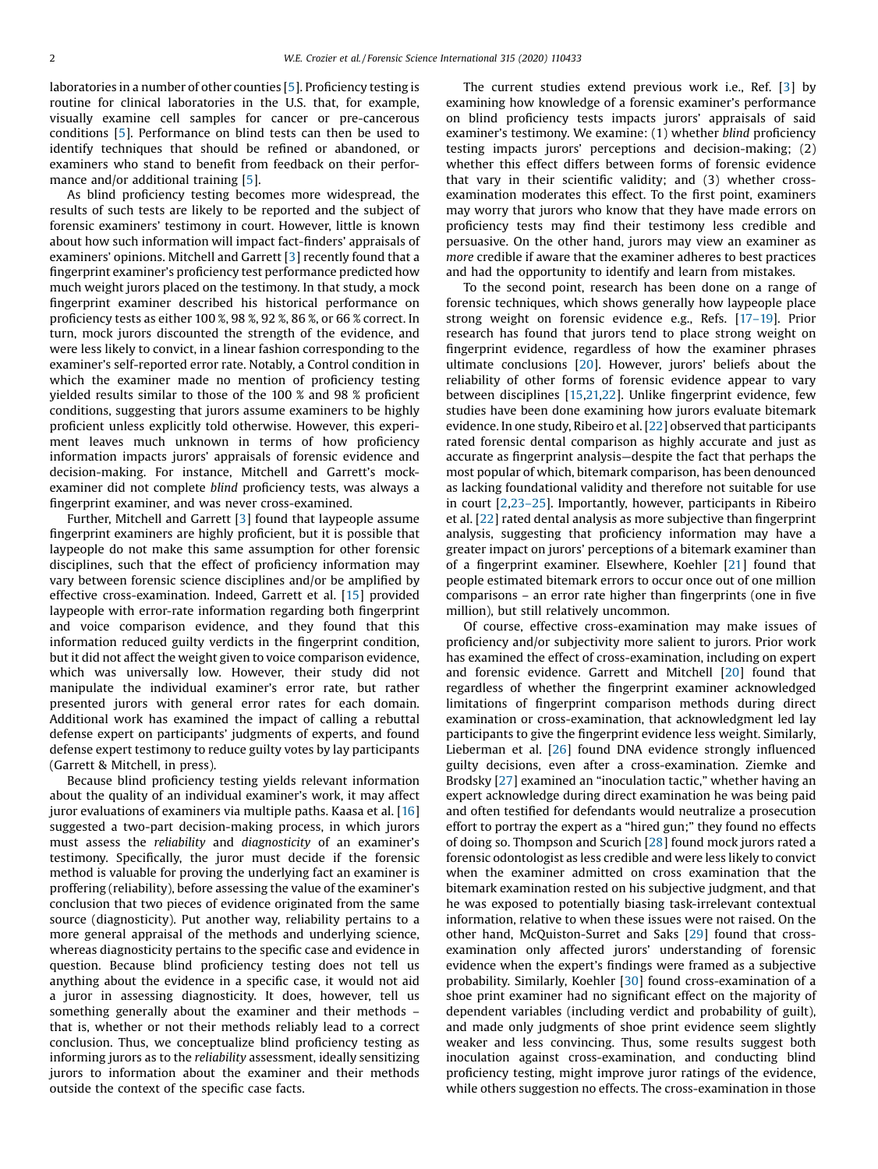laboratories in a number of other counties [\[5](#page-10-0)]. Proficiency testing is routine for clinical laboratories in the U.S. that, for example, visually examine cell samples for cancer or pre-cancerous conditions [\[5](#page-10-0)]. Performance on blind tests can then be used to identify techniques that should be refined or abandoned, or examiners who stand to benefit from feedback on their perfor-mance and/or additional training [\[5](#page-10-0)].

As blind proficiency testing becomes more widespread, the results of such tests are likely to be reported and the subject of forensic examiners' testimony in court. However, little is known about how such information will impact fact-finders' appraisals of examiners' opinions. Mitchell and Garrett [[3](#page-9-0)] recently found that a fingerprint examiner's proficiency test performance predicted how much weight jurors placed on the testimony. In that study, a mock fingerprint examiner described his historical performance on proficiency tests as either 100 %, 98 %, 92 %, 86 %, or 66 % correct. In turn, mock jurors discounted the strength of the evidence, and were less likely to convict, in a linear fashion corresponding to the examiner's self-reported error rate. Notably, a Control condition in which the examiner made no mention of proficiency testing yielded results similar to those of the 100 % and 98 % proficient conditions, suggesting that jurors assume examiners to be highly proficient unless explicitly told otherwise. However, this experiment leaves much unknown in terms of how proficiency information impacts jurors' appraisals of forensic evidence and decision-making. For instance, Mitchell and Garrett's mockexaminer did not complete blind proficiency tests, was always a fingerprint examiner, and was never cross-examined.

Further, Mitchell and Garrett [\[3](#page-9-0)] found that laypeople assume fingerprint examiners are highly proficient, but it is possible that laypeople do not make this same assumption for other forensic disciplines, such that the effect of proficiency information may vary between forensic science disciplines and/or be amplified by effective cross-examination. Indeed, Garrett et al. [[15](#page-10-0)] provided laypeople with error-rate information regarding both fingerprint and voice comparison evidence, and they found that this information reduced guilty verdicts in the fingerprint condition, but it did not affect the weight given to voice comparison evidence, which was universally low. However, their study did not manipulate the individual examiner's error rate, but rather presented jurors with general error rates for each domain. Additional work has examined the impact of calling a rebuttal defense expert on participants' judgments of experts, and found defense expert testimony to reduce guilty votes by lay participants (Garrett & Mitchell, in press).

Because blind proficiency testing yields relevant information about the quality of an individual examiner's work, it may affect juror evaluations of examiners via multiple paths. Kaasa et al. [\[16\]](#page-10-0) suggested a two-part decision-making process, in which jurors must assess the reliability and diagnosticity of an examiner's testimony. Specifically, the juror must decide if the forensic method is valuable for proving the underlying fact an examiner is proffering (reliability), before assessing the value of the examiner's conclusion that two pieces of evidence originated from the same source (diagnosticity). Put another way, reliability pertains to a more general appraisal of the methods and underlying science, whereas diagnosticity pertains to the specific case and evidence in question. Because blind proficiency testing does not tell us anything about the evidence in a specific case, it would not aid a juror in assessing diagnosticity. It does, however, tell us something generally about the examiner and their methods – that is, whether or not their methods reliably lead to a correct conclusion. Thus, we conceptualize blind proficiency testing as informing jurors as to the reliability assessment, ideally sensitizing jurors to information about the examiner and their methods outside the context of the specific case facts.

The current studies extend previous work i.e., Ref. [[3](#page-9-0)] by examining how knowledge of a forensic examiner's performance on blind proficiency tests impacts jurors' appraisals of said examiner's testimony. We examine: (1) whether blind proficiency testing impacts jurors' perceptions and decision-making; (2) whether this effect differs between forms of forensic evidence that vary in their scientific validity; and (3) whether crossexamination moderates this effect. To the first point, examiners may worry that jurors who know that they have made errors on proficiency tests may find their testimony less credible and persuasive. On the other hand, jurors may view an examiner as more credible if aware that the examiner adheres to best practices and had the opportunity to identify and learn from mistakes.

To the second point, research has been done on a range of forensic techniques, which shows generally how laypeople place strong weight on forensic evidence e.g., Refs. [17–[19\]](#page-10-0). Prior research has found that jurors tend to place strong weight on fingerprint evidence, regardless of how the examiner phrases ultimate conclusions [\[20](#page-10-0)]. However, jurors' beliefs about the reliability of other forms of forensic evidence appear to vary between disciplines [\[15,21,22](#page-10-0)]. Unlike fingerprint evidence, few studies have been done examining how jurors evaluate bitemark evidence. In one study, Ribeiro et al. [\[22](#page-10-0)] observed that participants rated forensic dental comparison as highly accurate and just as accurate as fingerprint analysis—despite the fact that perhaps the most popular of which, bitemark comparison, has been denounced as lacking foundational validity and therefore not suitable for use in court [[2](#page-9-0),23–[25\]](#page-10-0). Importantly, however, participants in Ribeiro et al. [[22](#page-10-0)] rated dental analysis as more subjective than fingerprint analysis, suggesting that proficiency information may have a greater impact on jurors' perceptions of a bitemark examiner than of a fingerprint examiner. Elsewhere, Koehler [\[21](#page-10-0)] found that people estimated bitemark errors to occur once out of one million comparisons – an error rate higher than fingerprints (one in five million), but still relatively uncommon.

Of course, effective cross-examination may make issues of proficiency and/or subjectivity more salient to jurors. Prior work has examined the effect of cross-examination, including on expert and forensic evidence. Garrett and Mitchell [\[20\]](#page-10-0) found that regardless of whether the fingerprint examiner acknowledged limitations of fingerprint comparison methods during direct examination or cross-examination, that acknowledgment led lay participants to give the fingerprint evidence less weight. Similarly, Lieberman et al. [[26\]](#page-10-0) found DNA evidence strongly influenced guilty decisions, even after a cross-examination. Ziemke and Brodsky [[27](#page-10-0)] examined an "inoculation tactic," whether having an expert acknowledge during direct examination he was being paid and often testified for defendants would neutralize a prosecution effort to portray the expert as a "hired gun;" they found no effects of doing so. Thompson and Scurich [\[28](#page-10-0)] found mock jurors rated a forensic odontologist as less credible and were less likely to convict when the examiner admitted on cross examination that the bitemark examination rested on his subjective judgment, and that he was exposed to potentially biasing task-irrelevant contextual information, relative to when these issues were not raised. On the other hand, McQuiston-Surret and Saks [[29](#page-10-0)] found that crossexamination only affected jurors' understanding of forensic evidence when the expert's findings were framed as a subjective probability. Similarly, Koehler [[30](#page-10-0)] found cross-examination of a shoe print examiner had no significant effect on the majority of dependent variables (including verdict and probability of guilt), and made only judgments of shoe print evidence seem slightly weaker and less convincing. Thus, some results suggest both inoculation against cross-examination, and conducting blind proficiency testing, might improve juror ratings of the evidence, while others suggestion no effects. The cross-examination in those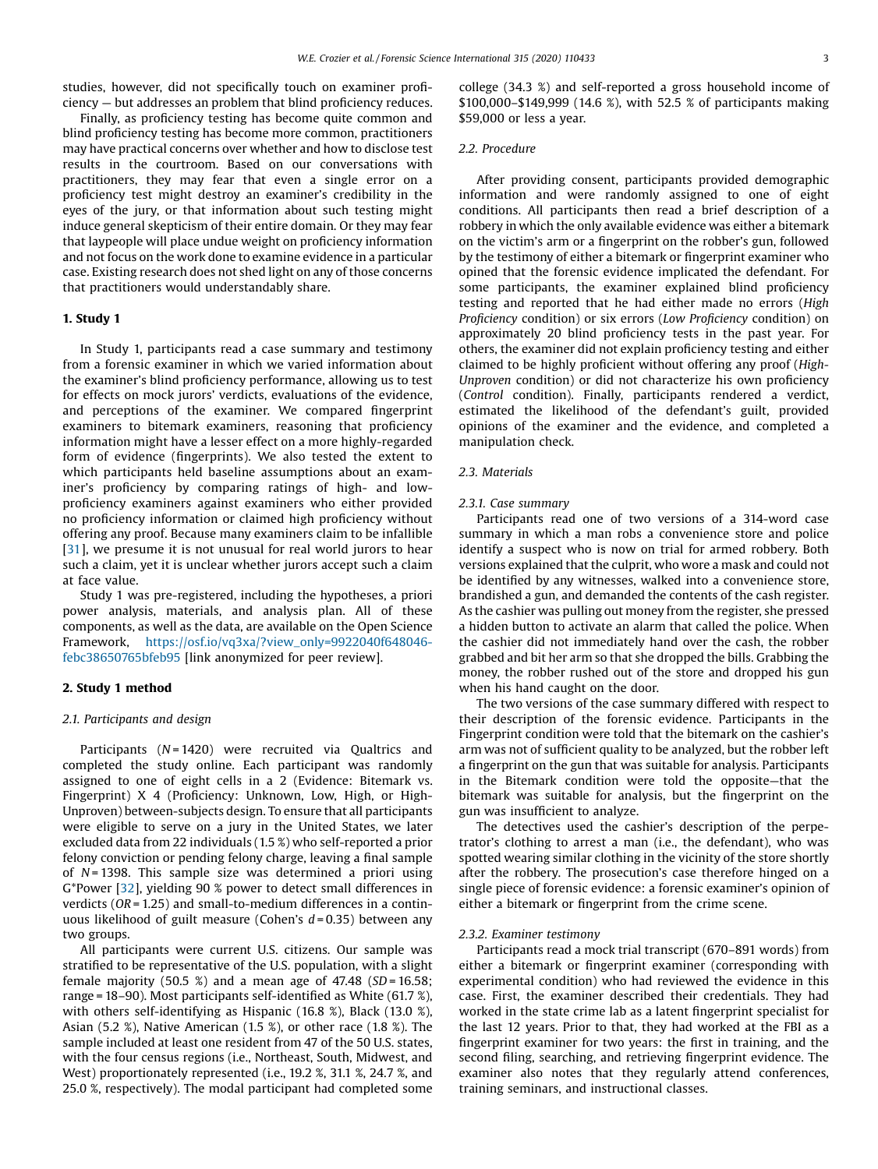studies, however, did not specifically touch on examiner proficiency — but addresses an problem that blind proficiency reduces.

Finally, as proficiency testing has become quite common and blind proficiency testing has become more common, practitioners may have practical concerns over whether and how to disclose test results in the courtroom. Based on our conversations with practitioners, they may fear that even a single error on a proficiency test might destroy an examiner's credibility in the eyes of the jury, or that information about such testing might induce general skepticism of their entire domain. Or they may fear that laypeople will place undue weight on proficiency information and not focus on the work done to examine evidence in a particular case. Existing research does not shed light on any of those concerns that practitioners would understandably share.

## 1. Study 1

In Study 1, participants read a case summary and testimony from a forensic examiner in which we varied information about the examiner's blind proficiency performance, allowing us to test for effects on mock jurors' verdicts, evaluations of the evidence, and perceptions of the examiner. We compared fingerprint examiners to bitemark examiners, reasoning that proficiency information might have a lesser effect on a more highly-regarded form of evidence (fingerprints). We also tested the extent to which participants held baseline assumptions about an examiner's proficiency by comparing ratings of high- and lowproficiency examiners against examiners who either provided no proficiency information or claimed high proficiency without offering any proof. Because many examiners claim to be infallible [[31](#page-10-0)], we presume it is not unusual for real world jurors to hear such a claim, yet it is unclear whether jurors accept such a claim at face value.

Study 1 was pre-registered, including the hypotheses, a priori power analysis, materials, and analysis plan. All of these components, as well as the data, are available on the Open Science Framework, [https://osf.io/vq3xa/?view\\_only=9922040f648046](https://osf.io/vq3xa/?view_only=9922040f648046febc38650765bfeb95) [febc38650765bfeb95](https://osf.io/vq3xa/?view_only=9922040f648046febc38650765bfeb95) [link anonymized for peer review].

#### 2. Study 1 method

## 2.1. Participants and design

Participants  $(N = 1420)$  were recruited via Qualtrics and completed the study online. Each participant was randomly assigned to one of eight cells in a 2 (Evidence: Bitemark vs. Fingerprint) X 4 (Proficiency: Unknown, Low, High, or High-Unproven) between-subjects design. To ensure that all participants were eligible to serve on a jury in the United States, we later excluded data from 22 individuals (1.5 %) who self-reported a prior felony conviction or pending felony charge, leaving a final sample of  $N = 1398$ . This sample size was determined a priori using G\*Power [[32](#page-10-0)], yielding 90 % power to detect small differences in verdicts ( $OR = 1.25$ ) and small-to-medium differences in a continuous likelihood of guilt measure (Cohen's  $d = 0.35$ ) between any two groups.

All participants were current U.S. citizens. Our sample was stratified to be representative of the U.S. population, with a slight female majority (50.5 %) and a mean age of 47.48 ( $SD = 16.58$ ; range = 18–90). Most participants self-identified as White (61.7 %), with others self-identifying as Hispanic (16.8 %), Black (13.0 %), Asian (5.2 %), Native American (1.5 %), or other race (1.8 %). The sample included at least one resident from 47 of the 50 U.S. states, with the four census regions (i.e., Northeast, South, Midwest, and West) proportionately represented (i.e., 19.2 %, 31.1 %, 24.7 %, and 25.0 %, respectively). The modal participant had completed some college (34.3 %) and self-reported a gross household income of \$100,000–\$149,999 (14.6 %), with 52.5 % of participants making \$59,000 or less a year.

# 2.2. Procedure

After providing consent, participants provided demographic information and were randomly assigned to one of eight conditions. All participants then read a brief description of a robbery in which the only available evidence was either a bitemark on the victim's arm or a fingerprint on the robber's gun, followed by the testimony of either a bitemark or fingerprint examiner who opined that the forensic evidence implicated the defendant. For some participants, the examiner explained blind proficiency testing and reported that he had either made no errors (High Proficiency condition) or six errors (Low Proficiency condition) on approximately 20 blind proficiency tests in the past year. For others, the examiner did not explain proficiency testing and either claimed to be highly proficient without offering any proof (High-Unproven condition) or did not characterize his own proficiency (Control condition). Finally, participants rendered a verdict, estimated the likelihood of the defendant's guilt, provided opinions of the examiner and the evidence, and completed a manipulation check.

#### 2.3. Materials

# 2.3.1. Case summary

Participants read one of two versions of a 314-word case summary in which a man robs a convenience store and police identify a suspect who is now on trial for armed robbery. Both versions explained that the culprit, who wore a mask and could not be identified by any witnesses, walked into a convenience store, brandished a gun, and demanded the contents of the cash register. As the cashier was pulling out money from the register, she pressed a hidden button to activate an alarm that called the police. When the cashier did not immediately hand over the cash, the robber grabbed and bit her arm so that she dropped the bills. Grabbing the money, the robber rushed out of the store and dropped his gun when his hand caught on the door.

The two versions of the case summary differed with respect to their description of the forensic evidence. Participants in the Fingerprint condition were told that the bitemark on the cashier's arm was not of sufficient quality to be analyzed, but the robber left a fingerprint on the gun that was suitable for analysis. Participants in the Bitemark condition were told the opposite—that the bitemark was suitable for analysis, but the fingerprint on the gun was insufficient to analyze.

The detectives used the cashier's description of the perpetrator's clothing to arrest a man (i.e., the defendant), who was spotted wearing similar clothing in the vicinity of the store shortly after the robbery. The prosecution's case therefore hinged on a single piece of forensic evidence: a forensic examiner's opinion of either a bitemark or fingerprint from the crime scene.

#### 2.3.2. Examiner testimony

Participants read a mock trial transcript (670–891 words) from either a bitemark or fingerprint examiner (corresponding with experimental condition) who had reviewed the evidence in this case. First, the examiner described their credentials. They had worked in the state crime lab as a latent fingerprint specialist for the last 12 years. Prior to that, they had worked at the FBI as a fingerprint examiner for two years: the first in training, and the second filing, searching, and retrieving fingerprint evidence. The examiner also notes that they regularly attend conferences, training seminars, and instructional classes.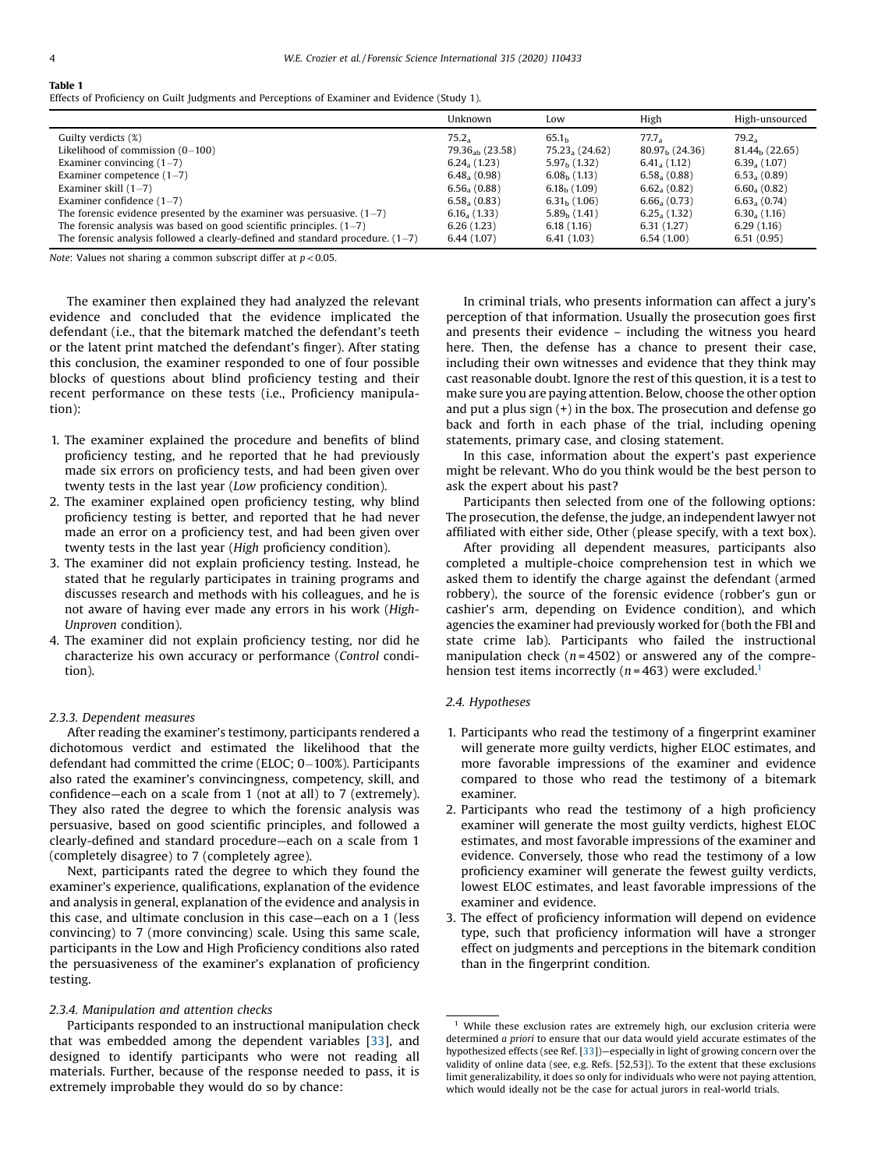# <span id="page-3-0"></span>Table 1

|                                                                                  | Unknown           | Low                 | High                     | High-unsourced           |
|----------------------------------------------------------------------------------|-------------------|---------------------|--------------------------|--------------------------|
| Guilty verdicts (%)                                                              | 75.2 <sub>2</sub> | 65.1 <sub>b</sub>   | 77.7.                    | $79.2_a$                 |
| Likelihood of commission $(0-100)$                                               | $79.36ab$ (23.58) | $75.23_{a} (24.62)$ | $80.97h$ (24.36)         | $81.44h$ (22.65)         |
| Examiner convincing $(1-7)$                                                      | $6.24_{a} (1.23)$ | $5.97h$ (1.32)      | $6.41a$ (1.12)           | $6.39a$ (1.07)           |
| Examiner competence $(1-7)$                                                      | $6.48a$ (0.98)    | $6.08b$ (1.13)      | 6.58, (0.88)             | 6.53, (0.89)             |
| Examiner skill $(1-7)$                                                           | 6.56, (0.88)      | $6.18h$ (1.09)      | 6.62 <sub>a</sub> (0.82) | $6.60a$ (0.82)           |
| Examiner confidence $(1-7)$                                                      | $6.58a$ (0.83)    | $6.31h$ (1.06)      | $6.66_{a}$ (0.73)        | 6.63 <sub>a</sub> (0.74) |
| The forensic evidence presented by the examiner was persuasive. $(1–7)$          | $6.16_{a}$ (1.33) | $5.89h$ (1.41)      | $6.25_{a} (1.32)$        | $6.30a$ (1.16)           |
| The forensic analysis was based on good scientific principles. $(1-7)$           | 6.26(1.23)        | 6.18(1.16)          | 6.31(1.27)               | 6.29(1.16)               |
| The forensic analysis followed a clearly-defined and standard procedure. $(1-7)$ | 6.44(1.07)        | 6.41(1.03)          | 6.54(1.00)               | 6.51(0.95)               |

Note: Values not sharing a common subscript differ at  $p < 0.05$ .

The examiner then explained they had analyzed the relevant evidence and concluded that the evidence implicated the defendant (i.e., that the bitemark matched the defendant's teeth or the latent print matched the defendant's finger). After stating this conclusion, the examiner responded to one of four possible blocks of questions about blind proficiency testing and their recent performance on these tests (i.e., Proficiency manipulation):

- 1. The examiner explained the procedure and benefits of blind proficiency testing, and he reported that he had previously made six errors on proficiency tests, and had been given over twenty tests in the last year (Low proficiency condition).
- 2. The examiner explained open proficiency testing, why blind proficiency testing is better, and reported that he had never made an error on a proficiency test, and had been given over twenty tests in the last year (High proficiency condition).
- 3. The examiner did not explain proficiency testing. Instead, he stated that he regularly participates in training programs and discusses research and methods with his colleagues, and he is not aware of having ever made any errors in his work (High-Unproven condition).
- 4. The examiner did not explain proficiency testing, nor did he characterize his own accuracy or performance (Control condition).

#### 2.3.3. Dependent measures

After reading the examiner's testimony, participants rendered a dichotomous verdict and estimated the likelihood that the defendant had committed the crime (ELOC;  $0-100\%$ ). Participants also rated the examiner's convincingness, competency, skill, and confidence—each on a scale from 1 (not at all) to 7 (extremely). They also rated the degree to which the forensic analysis was persuasive, based on good scientific principles, and followed a clearly-defined and standard procedure—each on a scale from 1 (completely disagree) to 7 (completely agree).

Next, participants rated the degree to which they found the examiner's experience, qualifications, explanation of the evidence and analysis in general, explanation of the evidence and analysis in this case, and ultimate conclusion in this case—each on a 1 (less convincing) to 7 (more convincing) scale. Using this same scale, participants in the Low and High Proficiency conditions also rated the persuasiveness of the examiner's explanation of proficiency testing.

# 2.3.4. Manipulation and attention checks

Participants responded to an instructional manipulation check that was embedded among the dependent variables [\[33](#page-10-0)], and designed to identify participants who were not reading all materials. Further, because of the response needed to pass, it is extremely improbable they would do so by chance:

In criminal trials, who presents information can affect a jury's perception of that information. Usually the prosecution goes first and presents their evidence – including the witness you heard here. Then, the defense has a chance to present their case, including their own witnesses and evidence that they think may cast reasonable doubt. Ignore the rest of this question, it is a test to make sure you are paying attention. Below, choose the other option and put a plus sign (+) in the box. The prosecution and defense go back and forth in each phase of the trial, including opening statements, primary case, and closing statement.

In this case, information about the expert's past experience might be relevant. Who do you think would be the best person to ask the expert about his past?

Participants then selected from one of the following options: The prosecution, the defense, the judge, an independent lawyer not affiliated with either side, Other (please specify, with a text box).

After providing all dependent measures, participants also completed a multiple-choice comprehension test in which we asked them to identify the charge against the defendant (armed robbery), the source of the forensic evidence (robber's gun or cashier's arm, depending on Evidence condition), and which agencies the examiner had previously worked for (both the FBI and state crime lab). Participants who failed the instructional manipulation check ( $n = 4502$ ) or answered any of the comprehension test items incorrectly ( $n = 463$ ) were excluded.<sup>1</sup>

# 2.4. Hypotheses

- 1. Participants who read the testimony of a fingerprint examiner will generate more guilty verdicts, higher ELOC estimates, and more favorable impressions of the examiner and evidence compared to those who read the testimony of a bitemark examiner.
- 2. Participants who read the testimony of a high proficiency examiner will generate the most guilty verdicts, highest ELOC estimates, and most favorable impressions of the examiner and evidence. Conversely, those who read the testimony of a low proficiency examiner will generate the fewest guilty verdicts, lowest ELOC estimates, and least favorable impressions of the examiner and evidence.
- 3. The effect of proficiency information will depend on evidence type, such that proficiency information will have a stronger effect on judgments and perceptions in the bitemark condition than in the fingerprint condition.

 $1$  While these exclusion rates are extremely high, our exclusion criteria were determined a priori to ensure that our data would yield accurate estimates of the hypothesized effects (see Ref. [[33](#page-10-0)])—especially in light of growing concern over the validity of online data (see, e.g. Refs. [52,53]). To the extent that these exclusions limit generalizability, it does so only for individuals who were not paying attention, which would ideally not be the case for actual jurors in real-world trials.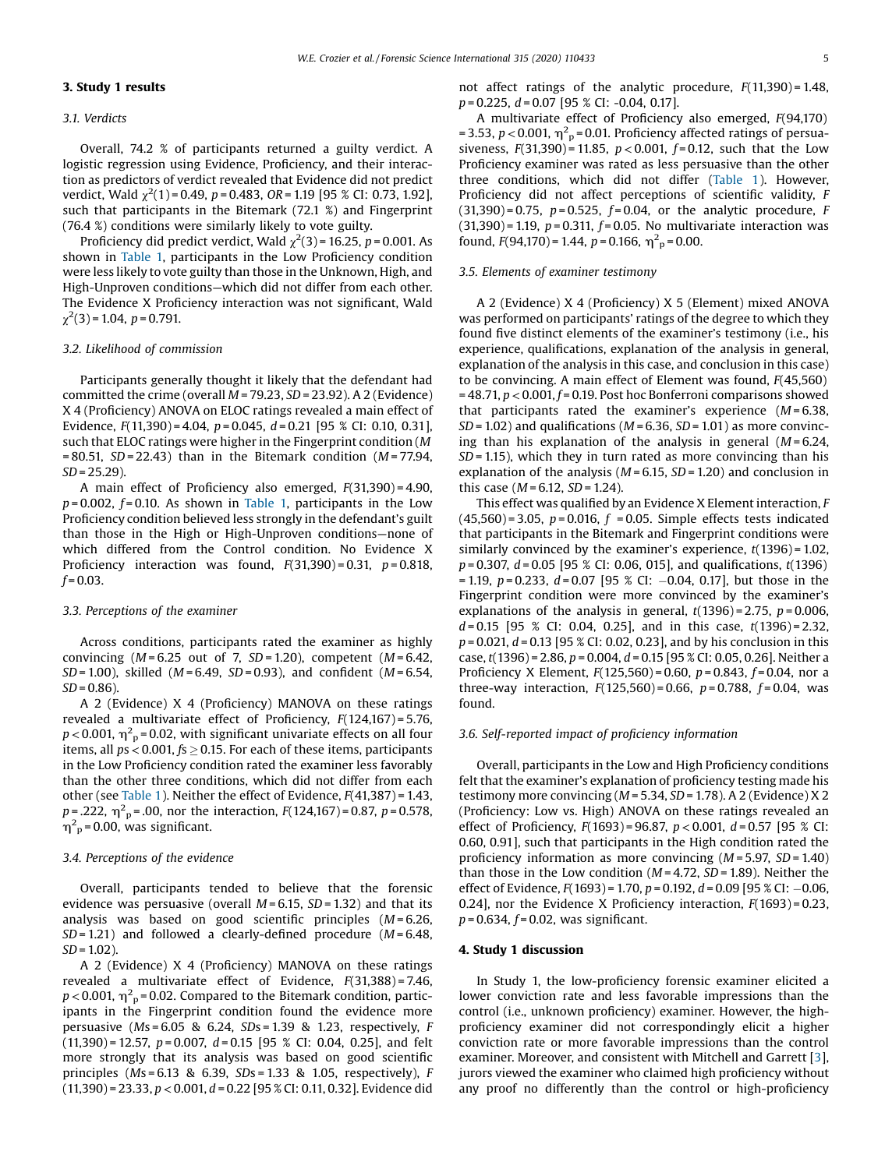# 3.1. Verdicts

Overall, 74.2 % of participants returned a guilty verdict. A logistic regression using Evidence, Proficiency, and their interaction as predictors of verdict revealed that Evidence did not predict verdict, Wald  $\chi^2(1)$  = 0.49, p = 0.483, OR = 1.19 [95 % CI: 0.73, 1.92], such that participants in the Bitemark (72.1 %) and Fingerprint (76.4 %) conditions were similarly likely to vote guilty.

Proficiency did predict verdict, Wald  $\chi^2(3)$  = 16.25, p = 0.001. As shown in [Table](#page-3-0) 1, participants in the Low Proficiency condition were less likely to vote guilty than those in the Unknown, High, and High-Unproven conditions—which did not differ from each other. The Evidence X Proficiency interaction was not significant, Wald  $\chi^2(3)$  = 1.04, p = 0.791.

## 3.2. Likelihood of commission

Participants generally thought it likely that the defendant had committed the crime (overall  $M = 79.23$ ,  $SD = 23.92$ ). A 2 (Evidence) X 4 (Proficiency) ANOVA on ELOC ratings revealed a main effect of Evidence,  $F(11,390) = 4.04$ ,  $p = 0.045$ ,  $d = 0.21$  [95 % CI: 0.10, 0.31], such that ELOC ratings were higher in the Fingerprint condition (M  $= 80.51$ ,  $SD = 22.43$ ) than in the Bitemark condition (M = 77.94,  $SD = 25.29$ ).

A main effect of Proficiency also emerged,  $F(31,390) = 4.90$ ,  $p = 0.002$ ,  $f = 0.10$ . As shown in [Table](#page-3-0) 1, participants in the Low Proficiency condition believed less strongly in the defendant's guilt than those in the High or High-Unproven conditions—none of which differed from the Control condition. No Evidence X Proficiency interaction was found,  $F(31,390) = 0.31$ ,  $p = 0.818$ ,  $f = 0.03$ .

## 3.3. Perceptions of the examiner

Across conditions, participants rated the examiner as highly convincing  $(M = 6.25$  out of 7,  $SD = 1.20$ ), competent  $(M = 6.42$ ,  $SD = 1.00$ ), skilled ( $M = 6.49$ ,  $SD = 0.93$ ), and confident ( $M = 6.54$ ,  $SD = 0.86$ ).

A 2 (Evidence) X 4 (Proficiency) MANOVA on these ratings revealed a multivariate effect of Proficiency, F(124,167) = 5.76,  $p$  < 0.001,  $\eta^2$  <sub>p</sub> = 0.02, with significant univariate effects on all four items, all  $ps < 0.001$ ,  $fs \ge 0.15$ . For each of these items, participants in the Low Proficiency condition rated the examiner less favorably than the other three conditions, which did not differ from each other (see [Table](#page-3-0) 1). Neither the effect of Evidence, F(41,387) = 1.43,  $p = .222$ ,  $\eta^2$ <sub>p</sub> = .00, nor the interaction,  $F(124,167)$  = 0.87,  $p = 0.578$ ,  $\eta^2$ <sub>p</sub> = 0.00, was significant.

# 3.4. Perceptions of the evidence

Overall, participants tended to believe that the forensic evidence was persuasive (overall  $M = 6.15$ ,  $SD = 1.32$ ) and that its analysis was based on good scientific principles  $(M = 6.26,$  $SD = 1.21$ ) and followed a clearly-defined procedure ( $M = 6.48$ ,  $SD = 1.02$ 

A 2 (Evidence) X 4 (Proficiency) MANOVA on these ratings revealed a multivariate effect of Evidence,  $F(31,388) = 7.46$ ,  $p$  < 0.001,  $\eta^2$ <sub>p</sub> = 0.02. Compared to the Bitemark condition, participants in the Fingerprint condition found the evidence more persuasive  $(Ms = 6.05 \& 6.24, SDs = 1.39 \& 1.23, respectively, F$  $(11,390) = 12.57$ ,  $p = 0.007$ ,  $d = 0.15$  [95 % CI: 0.04, 0.25], and felt more strongly that its analysis was based on good scientific principles ( $Ms = 6.13$  & 6.39,  $SDs = 1.33$  & 1.05, respectively), F  $(11,390) = 23.33, p < 0.001, d = 0.22$  [95 % CI: 0.11, 0.32]. Evidence did not affect ratings of the analytic procedure,  $F(11,390) = 1.48$ ,  $p = 0.225$ ,  $d = 0.07$  [95 % CI: -0.04, 0.17].

A multivariate effect of Proficiency also emerged, F(94,170) = 3.53,  $p < 0.001$ ,  $\eta^2$ <sub>p</sub> = 0.01. Proficiency affected ratings of persuasiveness,  $F(31,390) = 11.85$ ,  $p < 0.001$ ,  $f = 0.12$ , such that the Low Proficiency examiner was rated as less persuasive than the other three conditions, which did not differ ([Table](#page-3-0) 1). However, Proficiency did not affect perceptions of scientific validity, F  $(31,390) = 0.75$ ,  $p = 0.525$ ,  $f = 0.04$ , or the analytic procedure, F  $(31,390) = 1.19$ ,  $p = 0.311$ ,  $f = 0.05$ . No multivariate interaction was found,  $F(94,170) = 1.44$ ,  $p = 0.166$ ,  $\eta_{p}^{2} = 0.00$ .

## 3.5. Elements of examiner testimony

A 2 (Evidence) X 4 (Proficiency) X 5 (Element) mixed ANOVA was performed on participants' ratings of the degree to which they found five distinct elements of the examiner's testimony (i.e., his experience, qualifications, explanation of the analysis in general, explanation of the analysis in this case, and conclusion in this case) to be convincing. A main effect of Element was found,  $F(45,560)$  $= 48.71$ ,  $p < 0.001$ ,  $f = 0.19$ . Post hoc Bonferroni comparisons showed that participants rated the examiner's experience  $(M=6.38,$  $SD = 1.02$ ) and qualifications ( $M = 6.36$ ,  $SD = 1.01$ ) as more convincing than his explanation of the analysis in general  $(M = 6.24$ ,  $SD = 1.15$ ), which they in turn rated as more convincing than his explanation of the analysis ( $M = 6.15$ ,  $SD = 1.20$ ) and conclusion in this case  $(M = 6.12, SD = 1.24)$ .

This effect was qualified by an Evidence X Element interaction, F  $(45,560) = 3.05$ ,  $p = 0.016$ ,  $f = 0.05$ . Simple effects tests indicated that participants in the Bitemark and Fingerprint conditions were similarly convinced by the examiner's experience,  $t(1396) = 1.02$ ,  $p = 0.307$ ,  $d = 0.05$  [95 % CI: 0.06, 015], and qualifications,  $t(1396)$  $= 1.19$ ,  $p = 0.233$ ,  $d = 0.07$  [95 % CI: -0.04, 0.17], but those in the Fingerprint condition were more convinced by the examiner's explanations of the analysis in general,  $t(1396) = 2.75$ ,  $p = 0.006$ ,  $d = 0.15$  [95 % CI: 0.04, 0.25], and in this case,  $t(1396) = 2.32$ ,  $p = 0.021$ ,  $d = 0.13$  [95 % CI: 0.02, 0.23], and by his conclusion in this case, t(1396) = 2.86,  $p = 0.004$ ,  $d = 0.15$  [95 % CI; 0.05, 0.26]. Neither a Proficiency X Element,  $F(125,560) = 0.60$ ,  $p = 0.843$ ,  $f = 0.04$ , nor a three-way interaction,  $F(125,560) = 0.66$ ,  $p = 0.788$ ,  $f = 0.04$ , was found.

## 3.6. Self-reported impact of proficiency information

Overall, participants in the Low and High Proficiency conditions felt that the examiner's explanation of proficiency testing made his testimony more convincing ( $M = 5.34$ ,  $SD = 1.78$ ). A 2 (Evidence) X 2 (Proficiency: Low vs. High) ANOVA on these ratings revealed an effect of Proficiency,  $F(1693) = 96.87$ ,  $p < 0.001$ ,  $d = 0.57$  [95 % CI: 0.60, 0.91], such that participants in the High condition rated the proficiency information as more convincing  $(M = 5.97, SD = 1.40)$ than those in the Low condition  $(M = 4.72, SD = 1.89)$ . Neither the effect of Evidence,  $F(1693) = 1.70$ ,  $p = 0.192$ ,  $d = 0.09$  [95 % CI: -0.06, 0.24], nor the Evidence X Proficiency interaction,  $F(1693) = 0.23$ ,  $p = 0.634, f = 0.02$ , was significant.

## 4. Study 1 discussion

In Study 1, the low-proficiency forensic examiner elicited a lower conviction rate and less favorable impressions than the control (i.e., unknown proficiency) examiner. However, the highproficiency examiner did not correspondingly elicit a higher conviction rate or more favorable impressions than the control examiner. Moreover, and consistent with Mitchell and Garrett [[3](#page-9-0)], jurors viewed the examiner who claimed high proficiency without any proof no differently than the control or high-proficiency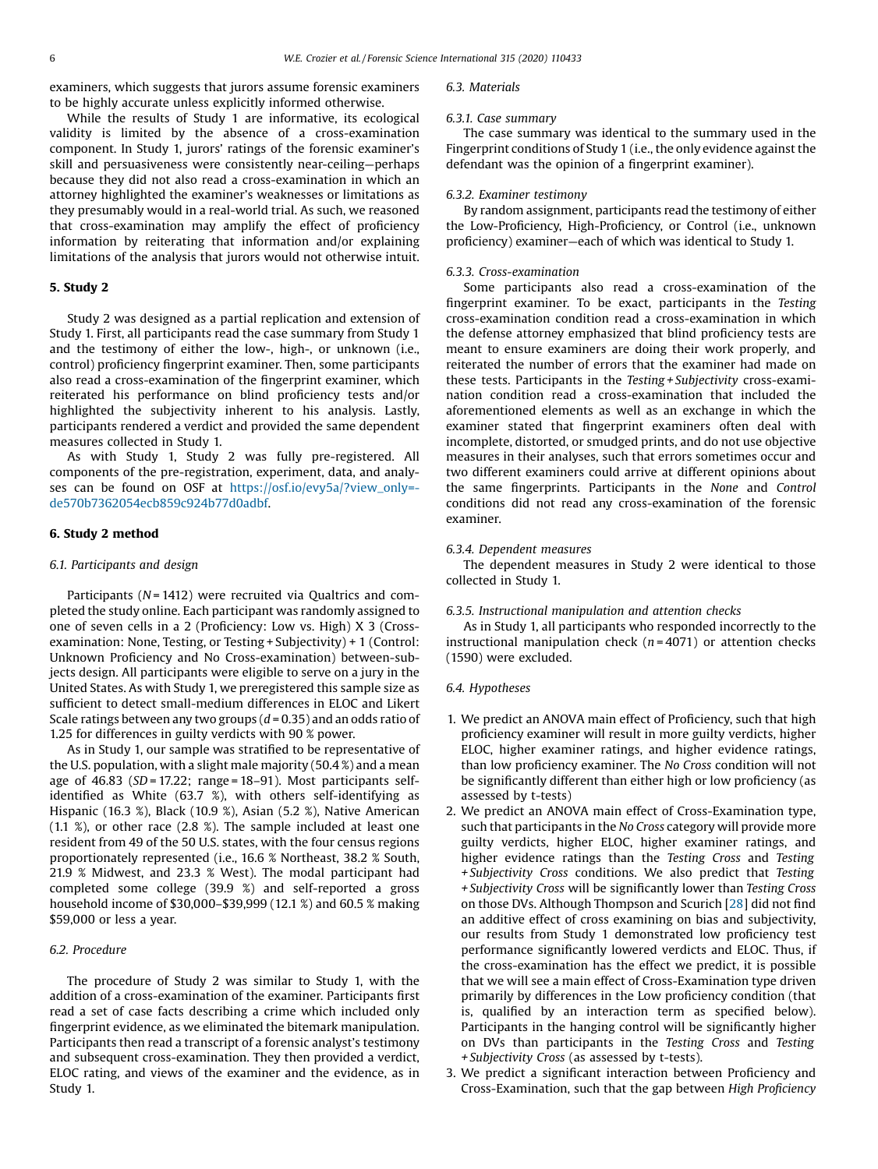examiners, which suggests that jurors assume forensic examiners to be highly accurate unless explicitly informed otherwise.

While the results of Study 1 are informative, its ecological validity is limited by the absence of a cross-examination component. In Study 1, jurors' ratings of the forensic examiner's skill and persuasiveness were consistently near-ceiling—perhaps because they did not also read a cross-examination in which an attorney highlighted the examiner's weaknesses or limitations as they presumably would in a real-world trial. As such, we reasoned that cross-examination may amplify the effect of proficiency information by reiterating that information and/or explaining limitations of the analysis that jurors would not otherwise intuit.

# 5. Study 2

Study 2 was designed as a partial replication and extension of Study 1. First, all participants read the case summary from Study 1 and the testimony of either the low-, high-, or unknown (i.e., control) proficiency fingerprint examiner. Then, some participants also read a cross-examination of the fingerprint examiner, which reiterated his performance on blind proficiency tests and/or highlighted the subjectivity inherent to his analysis. Lastly, participants rendered a verdict and provided the same dependent measures collected in Study 1.

As with Study 1, Study 2 was fully pre-registered. All components of the pre-registration, experiment, data, and analyses can be found on OSF at [https://osf.io/evy5a/?view\\_only=](https://osf.io/evy5a/?view_only=de570b7362054ecb859c924b77d0adbf) [de570b7362054ecb859c924b77d0adbf.](https://osf.io/evy5a/?view_only=de570b7362054ecb859c924b77d0adbf)

# 6. Study 2 method

# 6.1. Participants and design

Participants ( $N = 1412$ ) were recruited via Qualtrics and completed the study online. Each participant was randomly assigned to one of seven cells in a 2 (Proficiency: Low vs. High) X 3 (Crossexamination: None, Testing, or Testing + Subjectivity) + 1 (Control: Unknown Proficiency and No Cross-examination) between-subjects design. All participants were eligible to serve on a jury in the United States. As with Study 1, we preregistered this sample size as sufficient to detect small-medium differences in ELOC and Likert Scale ratings between any two groups  $(d = 0.35)$  and an odds ratio of 1.25 for differences in guilty verdicts with 90 % power.

As in Study 1, our sample was stratified to be representative of the U.S. population, with a slight male majority (50.4 %) and a mean age of  $46.83$  (SD = 17.22; range = 18-91). Most participants selfidentified as White (63.7 %), with others self-identifying as Hispanic (16.3 %), Black (10.9 %), Asian (5.2 %), Native American (1.1 %), or other race (2.8 %). The sample included at least one resident from 49 of the 50 U.S. states, with the four census regions proportionately represented (i.e., 16.6 % Northeast, 38.2 % South, 21.9 % Midwest, and 23.3 % West). The modal participant had completed some college (39.9 %) and self-reported a gross household income of \$30,000–\$39,999 (12.1 %) and 60.5 % making \$59,000 or less a year.

# 6.2. Procedure

The procedure of Study 2 was similar to Study 1, with the addition of a cross-examination of the examiner. Participants first read a set of case facts describing a crime which included only fingerprint evidence, as we eliminated the bitemark manipulation. Participants then read a transcript of a forensic analyst's testimony and subsequent cross-examination. They then provided a verdict, ELOC rating, and views of the examiner and the evidence, as in Study 1.

#### 6.3. Materials

#### 6.3.1. Case summary

The case summary was identical to the summary used in the Fingerprint conditions of Study 1 (i.e., the only evidence against the defendant was the opinion of a fingerprint examiner).

## 6.3.2. Examiner testimony

By random assignment, participants read the testimony of either the Low-Proficiency, High-Proficiency, or Control (i.e., unknown proficiency) examiner—each of which was identical to Study 1.

## 6.3.3. Cross-examination

Some participants also read a cross-examination of the fingerprint examiner. To be exact, participants in the Testing cross-examination condition read a cross-examination in which the defense attorney emphasized that blind proficiency tests are meant to ensure examiners are doing their work properly, and reiterated the number of errors that the examiner had made on these tests. Participants in the Testing + Subjectivity cross-examination condition read a cross-examination that included the aforementioned elements as well as an exchange in which the examiner stated that fingerprint examiners often deal with incomplete, distorted, or smudged prints, and do not use objective measures in their analyses, such that errors sometimes occur and two different examiners could arrive at different opinions about the same fingerprints. Participants in the None and Control conditions did not read any cross-examination of the forensic examiner.

#### 6.3.4. Dependent measures

The dependent measures in Study 2 were identical to those collected in Study 1.

# 6.3.5. Instructional manipulation and attention checks

As in Study 1, all participants who responded incorrectly to the instructional manipulation check  $(n = 4071)$  or attention checks (1590) were excluded.

#### 6.4. Hypotheses

- 1. We predict an ANOVA main effect of Proficiency, such that high proficiency examiner will result in more guilty verdicts, higher ELOC, higher examiner ratings, and higher evidence ratings, than low proficiency examiner. The No Cross condition will not be significantly different than either high or low proficiency (as assessed by t-tests)
- 2. We predict an ANOVA main effect of Cross-Examination type, such that participants in the No Cross category will provide more guilty verdicts, higher ELOC, higher examiner ratings, and higher evidence ratings than the Testing Cross and Testing + Subjectivity Cross conditions. We also predict that Testing + Subjectivity Cross will be significantly lower than Testing Cross on those DVs. Although Thompson and Scurich [[28\]](#page-10-0) did not find an additive effect of cross examining on bias and subjectivity, our results from Study 1 demonstrated low proficiency test performance significantly lowered verdicts and ELOC. Thus, if the cross-examination has the effect we predict, it is possible that we will see a main effect of Cross-Examination type driven primarily by differences in the Low proficiency condition (that is, qualified by an interaction term as specified below). Participants in the hanging control will be significantly higher on DVs than participants in the Testing Cross and Testing + Subjectivity Cross (as assessed by t-tests).
- 3. We predict a significant interaction between Proficiency and Cross-Examination, such that the gap between High Proficiency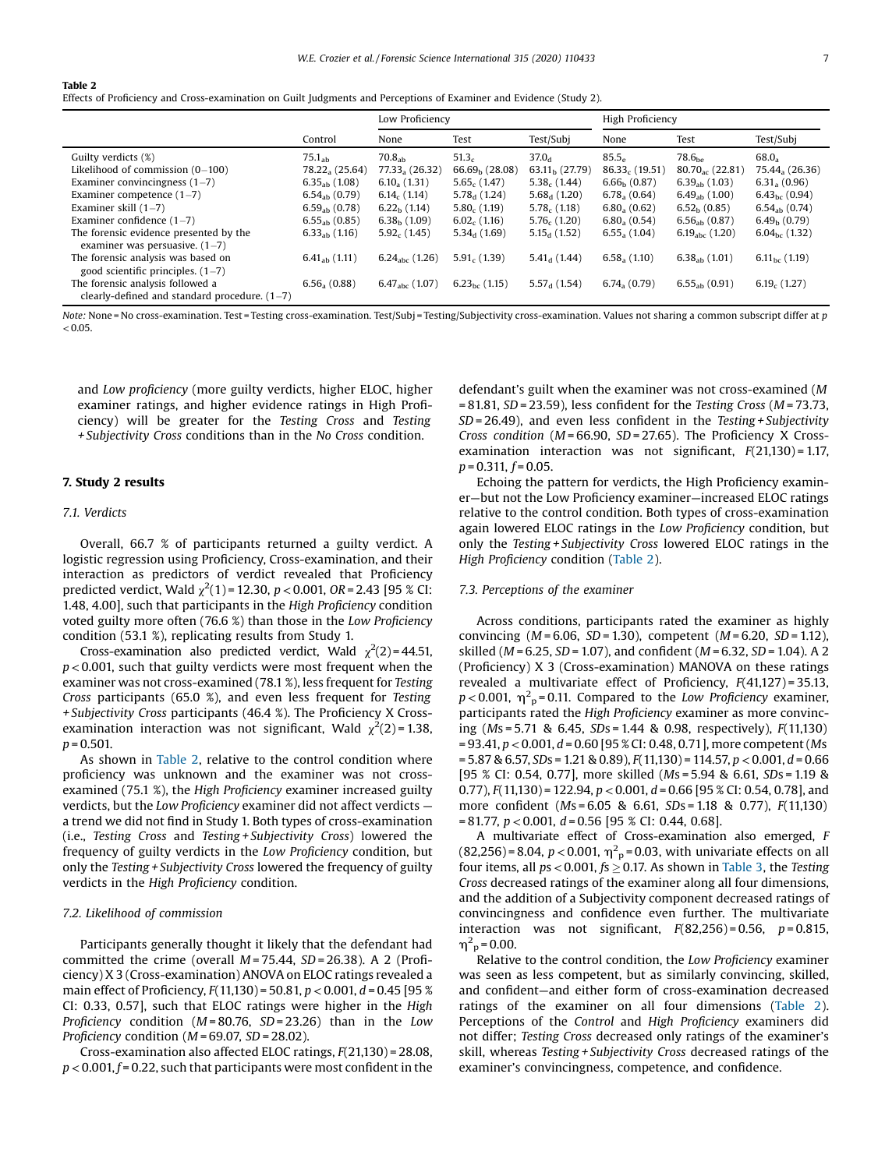<span id="page-6-0"></span>Table 2

Effects of Proficiency and Cross-examination on Guilt Judgments and Perceptions of Examiner and Evidence (Study 2).

|                                                                                                                                                                                                                                                                                                          |                                                                                                                                                             | Low Proficiency                                                                                                                                                     |                                                                                                                                                      |                                                                                                                                                  | High Proficiency                                                                                                                                                          |                                                                                                                                                                                      |                                                                                                                                                                                 |
|----------------------------------------------------------------------------------------------------------------------------------------------------------------------------------------------------------------------------------------------------------------------------------------------------------|-------------------------------------------------------------------------------------------------------------------------------------------------------------|---------------------------------------------------------------------------------------------------------------------------------------------------------------------|------------------------------------------------------------------------------------------------------------------------------------------------------|--------------------------------------------------------------------------------------------------------------------------------------------------|---------------------------------------------------------------------------------------------------------------------------------------------------------------------------|--------------------------------------------------------------------------------------------------------------------------------------------------------------------------------------|---------------------------------------------------------------------------------------------------------------------------------------------------------------------------------|
|                                                                                                                                                                                                                                                                                                          | Control                                                                                                                                                     | None                                                                                                                                                                | Test                                                                                                                                                 | Test/Subj                                                                                                                                        | None                                                                                                                                                                      | Test                                                                                                                                                                                 | Test/Subj                                                                                                                                                                       |
| Guilty verdicts (%)<br>Likelihood of commission $(0-100)$<br>Examiner convincingness $(1-7)$<br>Examiner competence $(1-7)$<br>Examiner skill $(1-7)$<br>Examiner confidence $(1-7)$<br>The forensic evidence presented by the<br>examiner was persuasive, $(1–7)$<br>The forensic analysis was based on | $75.1_{ab}$<br>78.22, (25.64)<br>$6.35_{ab}$ (1.08)<br>$6.54_{ab}$ (0.79)<br>$6.59_{ab}$ (0.78)<br>$6.55ab$ (0.85)<br>$6.33ab$ (1.16)<br>$6.41_{ab}$ (1.11) | 70.8 <sub>ah</sub><br>$77.33a$ (26.32)<br>$6.10_{a}$ (1.31)<br>$6.14_c(1.14)$<br>$6.22b$ (1.14)<br>$6.38h$ (1.09)<br>$5.92c$ (1.45)<br>6.24 <sub>abc</sub> $(1.26)$ | 51.3 <sub>c</sub><br>$66.69h$ (28.08)<br>$5.65c$ (1.47)<br>$5.78d$ (1.24)<br>$5.80c$ (1.19)<br>$6.02c$ (1.16)<br>$5.34_{d}$ (1.69)<br>$5.91c$ (1.39) | $37.0_{d}$<br>$63.11b$ (27.79)<br>$5.38c$ (1.44)<br>$5.68_{d}$ (1.20)<br>$5.78c$ (1.18)<br>$5.76_c(1.20)$<br>$5.15_d(1.52)$<br>$5.41_{d}$ (1.44) | 85.5 <sub>e</sub><br>$86.33c$ (19.51)<br>6.66 <sub>h</sub> (0.87)<br>$6.78a$ (0.64)<br>$6.80_{a}$ (0.62)<br>$6.80_{a}$ $(0.54)$<br>$6.55_{a}$ (1.04)<br>$6.58_{a}$ (1.10) | 78.6 <sub>he</sub><br>$80.70_{ac}$ (22.81)<br>$6.39_{ab}$ (1.03)<br>$6.49_{ab}$ (1.00)<br>$6.52b$ (0.85)<br>$6.56_{ab}$ (0.87)<br>6.19 <sub>abc</sub> $(1.20)$<br>$6.38_{ab}$ (1.01) | $68.0_a$<br>75.44, (26.36)<br>6.31, (0.96)<br>$6.43_{\rm bc}$ (0.94)<br>$6.54_{ab}$ (0.74)<br>6.49 <sub>h</sub> (0.79)<br>$6.04_{\rm bc}$ (1.32)<br>6.11 <sub>bc</sub> $(1.19)$ |
| good scientific principles. $(1-7)$<br>The forensic analysis followed a<br>clearly-defined and standard procedure, $(1-7)$                                                                                                                                                                               | $6.56a$ (0.88)                                                                                                                                              | $6.47_{abc}$ (1.07)                                                                                                                                                 | $6.23_{\rm bc}$ (1.15)                                                                                                                               | $5.57_{d}$ (1.54)                                                                                                                                | $6.74_{\circ}$ (0.79)                                                                                                                                                     | $6.55ab$ (0.91)                                                                                                                                                                      | $6.19_c(1.27)$                                                                                                                                                                  |

Note: None = No cross-examination. Test = Testing cross-examination. Test/Subj = Testing/Subjectivity cross-examination. Values not sharing a common subscript differ at p  $< 0.05$ 

and Low proficiency (more guilty verdicts, higher ELOC, higher examiner ratings, and higher evidence ratings in High Proficiency) will be greater for the Testing Cross and Testing + Subjectivity Cross conditions than in the No Cross condition.

# 7. Study 2 results

# 7.1. Verdicts

Overall, 66.7 % of participants returned a guilty verdict. A logistic regression using Proficiency, Cross-examination, and their interaction as predictors of verdict revealed that Proficiency predicted verdict, Wald  $\chi^2(1)$  = 12.30, p < 0.001, OR = 2.43 [95 % CI: 1.48, 4.00], such that participants in the High Proficiency condition voted guilty more often (76.6 %) than those in the Low Proficiency condition (53.1 %), replicating results from Study 1.

Cross-examination also predicted verdict, Wald  $\chi^2(2)$  = 44.51,  $p < 0.001$ , such that guilty verdicts were most frequent when the examiner was not cross-examined (78.1 %), less frequent for Testing Cross participants (65.0 %), and even less frequent for Testing + Subjectivity Cross participants (46.4 %). The Proficiency X Crossexamination interaction was not significant, Wald  $\chi^2(2)$ =1.38,  $p = 0.501$ .

As shown in Table 2, relative to the control condition where proficiency was unknown and the examiner was not crossexamined (75.1 %), the High Proficiency examiner increased guilty verdicts, but the Low Proficiency examiner did not affect verdicts a trend we did not find in Study 1. Both types of cross-examination (i.e., Testing Cross and Testing + Subjectivity Cross) lowered the frequency of guilty verdicts in the Low Proficiency condition, but only the Testing + Subjectivity Cross lowered the frequency of guilty verdicts in the High Proficiency condition.

#### 7.2. Likelihood of commission

Participants generally thought it likely that the defendant had committed the crime (overall  $M = 75.44$ ,  $SD = 26.38$ ). A 2 (Proficiency) X 3 (Cross-examination) ANOVA on ELOC ratings revealed a main effect of Proficiency,  $F(11,130) = 50.81$ ,  $p < 0.001$ ,  $d = 0.45$  [95 % CI: 0.33, 0.57], such that ELOC ratings were higher in the High Proficiency condition ( $M = 80.76$ ,  $SD = 23.26$ ) than in the Low Proficiency condition ( $M = 69.07$ ,  $SD = 28.02$ ).

Cross-examination also affected ELOC ratings, F(21,130) = 28.08,  $p < 0.001$ ,  $f = 0.22$ , such that participants were most confident in the defendant's guilt when the examiner was not cross-examined (M  $= 81.81$ , SD = 23.59), less confident for the Testing Cross (M = 73.73,  $SD = 26.49$ ), and even less confident in the Testing + Subjectivity Cross condition ( $M = 66.90$ ,  $SD = 27.65$ ). The Proficiency X Crossexamination interaction was not significant,  $F(21,130) = 1.17$ ,  $p = 0.311, f = 0.05.$ 

Echoing the pattern for verdicts, the High Proficiency examiner—but not the Low Proficiency examiner—increased ELOC ratings relative to the control condition. Both types of cross-examination again lowered ELOC ratings in the Low Proficiency condition, but only the Testing + Subjectivity Cross lowered ELOC ratings in the High Proficiency condition (Table 2).

## 7.3. Perceptions of the examiner

Across conditions, participants rated the examiner as highly convincing  $(M = 6.06, SD = 1.30)$ , competent  $(M = 6.20, SD = 1.12)$ , skilled ( $M = 6.25$ ,  $SD = 1.07$ ), and confident ( $M = 6.32$ ,  $SD = 1.04$ ). A 2 (Proficiency) X 3 (Cross-examination) MANOVA on these ratings revealed a multivariate effect of Proficiency, F(41,127) = 35.13,  $p$  < 0.001,  $\rm\thinspace\eta^2$ <sub>p</sub> = 0.11. Compared to the *Low Proficiency* examiner, participants rated the High Proficiency examiner as more convincing (Ms = 5.71 & 6.45, SDs = 1.44 & 0.98, respectively), F(11,130)  $= 93.41, p < 0.001, d = 0.60$  [95 % CI: 0.48, 0.71], more competent (Ms  $= 5.87 \& 6.57$ , SDs = 1.21 & 0.89),  $F(11,130) = 114.57$ ,  $p < 0.001$ ,  $d = 0.66$ [95 % CI: 0.54, 0.77], more skilled (Ms = 5.94 & 6.61, SDs = 1.19 & 0.77),  $F(11,130) = 122.94$ ,  $p < 0.001$ ,  $d = 0.66$  [95 % CI: 0.54, 0.78], and more confident (Ms = 6.05 & 6.61, SDs = 1.18 & 0.77), F(11,130)  $= 81.77, p < 0.001, d = 0.56$  [95 % CI: 0.44, 0.68].

A multivariate effect of Cross-examination also emerged, F  $(82,256)$  = 8.04,  $p < 0.001$ ,  $\eta^2$ <sub>p</sub> = 0.03, with univariate effects on all four items, all  $ps < 0.001$ ,  $fs \ge 0.17$ . As shown in [Table](#page-7-0) 3, the Testing Cross decreased ratings of the examiner along all four dimensions, and the addition of a Subjectivity component decreased ratings of convincingness and confidence even further. The multivariate interaction was not significant,  $F(82,256) = 0.56$ ,  $p = 0.815$ ,  $\eta_{\text{p}}^2$  = 0.00.

Relative to the control condition, the Low Proficiency examiner was seen as less competent, but as similarly convincing, skilled, and confident—and either form of cross-examination decreased ratings of the examiner on all four dimensions (Table 2). Perceptions of the Control and High Proficiency examiners did not differ; Testing Cross decreased only ratings of the examiner's skill, whereas Testing + Subjectivity Cross decreased ratings of the examiner's convincingness, competence, and confidence.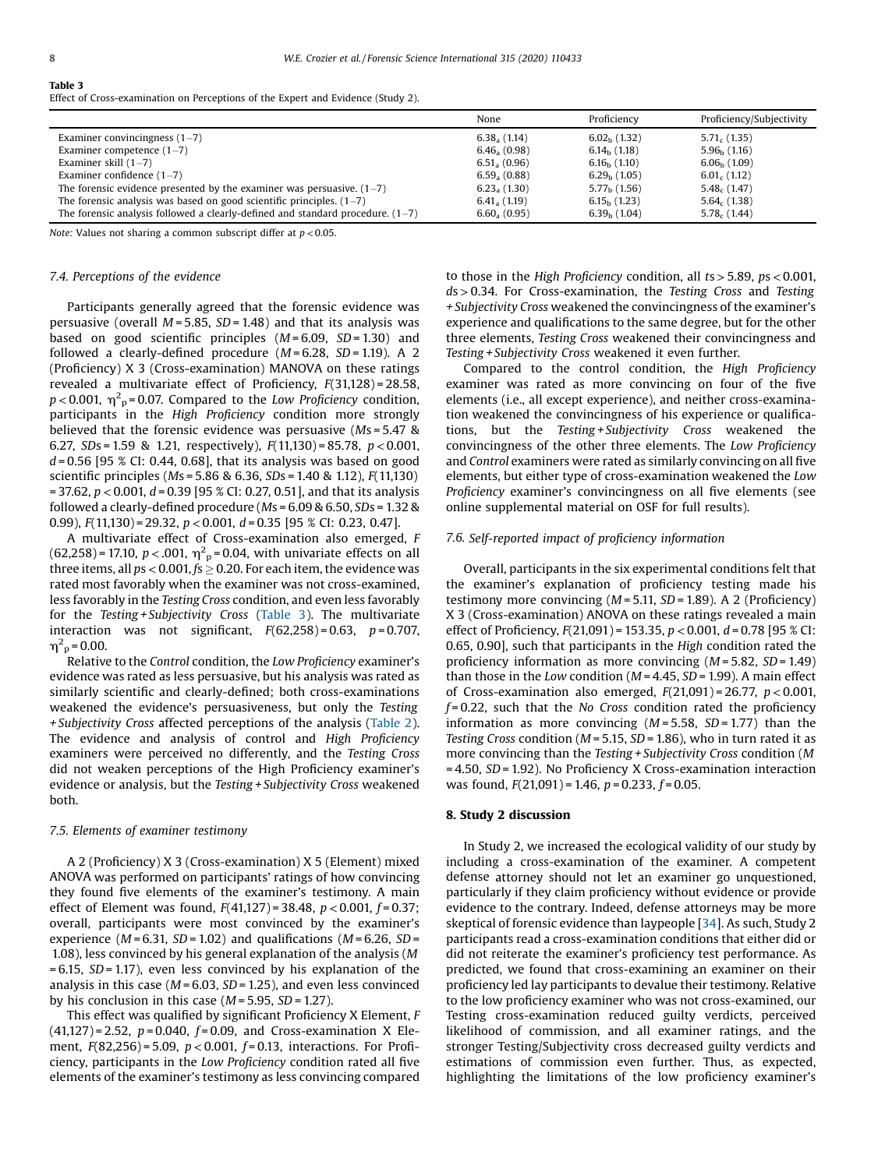# <span id="page-7-0"></span>Table 3

Effect of Cross-examination on Perceptions of the Expert and Evidence (Study 2).

|                                                                                  | None                  | Proficiency    | Proficiency/Subjectivity |
|----------------------------------------------------------------------------------|-----------------------|----------------|--------------------------|
| Examiner convincingness $(1-7)$                                                  | $6.38a$ (1.14)        | $6.02h$ (1.32) | $5.71c$ (1.35)           |
| Examiner competence $(1-7)$                                                      | $6.46_{a}$ (0.98)     | $6.14b$ (1.18) | $5.96b$ (1.16)           |
| Examiner skill $(1-7)$                                                           | 6.51, (0.96)          | $6.16b$ (1.10) | $6.06b$ (1.09)           |
| Examiner confidence $(1-7)$                                                      | 6.59, (0.88)          | $6.29h$ (1.05) | $6.01c$ (1.12)           |
| The forensic evidence presented by the examiner was persuasive. $(1-7)$          | $6.23_{\circ}$ (1.30) | $5.77h$ (1.56) | $5.48c$ (1.47)           |
| The forensic analysis was based on good scientific principles. $(1–7)$           | 6.41, (1.19)          | $6.15h$ (1.23) | $5.64c$ (1.38)           |
| The forensic analysis followed a clearly-defined and standard procedure. $(1-7)$ | $6.60_{a}$ (0.95)     | $6.39h$ (1.04) | $5.78c$ (1.44)           |

Note: Values not sharing a common subscript differ at  $p < 0.05$ .

# 7.4. Perceptions of the evidence

Participants generally agreed that the forensic evidence was persuasive (overall  $M = 5.85$ ,  $SD = 1.48$ ) and that its analysis was based on good scientific principles  $(M=6.09, SD=1.30)$  and followed a clearly-defined procedure  $(M = 6.28, SD = 1.19)$ . A 2 (Proficiency) X 3 (Cross-examination) MANOVA on these ratings revealed a multivariate effect of Proficiency, F(31,128) = 28.58,  $p$  < 0.001,  $\eta^2$ <sub>p</sub>=0.07. Compared to the *Low Proficiency condition*, participants in the High Proficiency condition more strongly believed that the forensic evidence was persuasive (Ms = 5.47 & 6.27, SDs = 1.59 & 1.21, respectively),  $F(11,130) = 85.78$ ,  $p < 0.001$ ,  $d = 0.56$  [95 % CI: 0.44, 0.68], that its analysis was based on good scientific principles (Ms = 5.86 & 6.36, SDs = 1.40 & 1.12), F(11,130) = 37.62,  $p < 0.001$ ,  $d = 0.39$  [95 % CI: 0.27, 0.51], and that its analysis followed a clearly-defined procedure (Ms = 6.09 & 6.50, SDs = 1.32 & 0.99),  $F(11,130) = 29.32$ ,  $p < 0.001$ ,  $d = 0.35$  [95 % CI: 0.23, 0.47].

A multivariate effect of Cross-examination also emerged, F  $(62,258)$  = 17.10,  $p < .001$ ,  $\eta^2$ <sub>p</sub> = 0.04, with univariate effects on all three items, all  $ps < 0.001$ ,  $fs \ge 0.20$ . For each item, the evidence was rated most favorably when the examiner was not cross-examined, less favorably in the Testing Cross condition, and even less favorably for the Testing + Subjectivity Cross (Table 3). The multivariate interaction was not significant,  $F(62,258) = 0.63$ ,  $p = 0.707$ ,  $\eta_{\text{p}}^2$  = 0.00.

Relative to the Control condition, the Low Proficiency examiner's evidence was rated as less persuasive, but his analysis was rated as similarly scientific and clearly-defined; both cross-examinations weakened the evidence's persuasiveness, but only the Testing + Subjectivity Cross affected perceptions of the analysis ([Table](#page-6-0) 2). The evidence and analysis of control and High Proficiency examiners were perceived no differently, and the Testing Cross did not weaken perceptions of the High Proficiency examiner's evidence or analysis, but the Testing + Subjectivity Cross weakened both.

# 7.5. Elements of examiner testimony

A 2 (Proficiency) X 3 (Cross-examination) X 5 (Element) mixed ANOVA was performed on participants' ratings of how convincing they found five elements of the examiner's testimony. A main effect of Element was found,  $F(41,127) = 38.48$ ,  $p < 0.001$ ,  $f = 0.37$ ; overall, participants were most convinced by the examiner's experience ( $M = 6.31$ ,  $SD = 1.02$ ) and qualifications ( $M = 6.26$ ,  $SD =$ 1.08), less convinced by his general explanation of the analysis (M  $= 6.15$ , SD = 1.17), even less convinced by his explanation of the analysis in this case ( $M = 6.03$ ,  $SD = 1.25$ ), and even less convinced by his conclusion in this case  $(M = 5.95, SD = 1.27)$ .

This effect was qualified by significant Proficiency X Element, F  $(41,127) = 2.52$ ,  $p = 0.040$ ,  $f = 0.09$ , and Cross-examination X Element,  $F(82,256) = 5.09$ ,  $p < 0.001$ ,  $f = 0.13$ , interactions. For Proficiency, participants in the Low Proficiency condition rated all five elements of the examiner's testimony as less convincing compared to those in the High Proficiency condition, all  $ts > 5.89$ ,  $ps < 0.001$ , ds>0.34. For Cross-examination, the Testing Cross and Testing + Subjectivity Cross weakened the convincingness of the examiner's experience and qualifications to the same degree, but for the other three elements, Testing Cross weakened their convincingness and Testing + Subjectivity Cross weakened it even further.

Compared to the control condition, the High Proficiency examiner was rated as more convincing on four of the five elements (i.e., all except experience), and neither cross-examination weakened the convincingness of his experience or qualifications, but the Testing + Subjectivity Cross weakened the convincingness of the other three elements. The Low Proficiency and Control examiners were rated as similarly convincing on all five elements, but either type of cross-examination weakened the Low Proficiency examiner's convincingness on all five elements (see online supplemental material on OSF for full results).

## 7.6. Self-reported impact of proficiency information

Overall, participants in the six experimental conditions felt that the examiner's explanation of proficiency testing made his testimony more convincing  $(M = 5.11, SD = 1.89)$ . A 2 (Proficiency) X 3 (Cross-examination) ANOVA on these ratings revealed a main effect of Proficiency,  $F(21,091) = 153.35$ ,  $p < 0.001$ ,  $d = 0.78$  [95 % CI: 0.65, 0.90], such that participants in the High condition rated the proficiency information as more convincing  $(M = 5.82, SD = 1.49)$ than those in the Low condition ( $M = 4.45$ ,  $SD = 1.99$ ). A main effect of Cross-examination also emerged,  $F(21,091) = 26.77$ ,  $p < 0.001$ ,  $f = 0.22$ , such that the No Cross condition rated the proficiency information as more convincing  $(M=5.58, SD=1.77)$  than the Testing Cross condition ( $M = 5.15$ ,  $SD = 1.86$ ), who in turn rated it as more convincing than the Testing + Subjectivity Cross condition (M = 4.50, SD= 1.92). No Proficiency X Cross-examination interaction was found,  $F(21,091) = 1.46$ ,  $p = 0.233$ ,  $f = 0.05$ .

#### 8. Study 2 discussion

In Study 2, we increased the ecological validity of our study by including a cross-examination of the examiner. A competent defense attorney should not let an examiner go unquestioned, particularly if they claim proficiency without evidence or provide evidence to the contrary. Indeed, defense attorneys may be more skeptical of forensic evidence than laypeople [[34](#page-10-0)]. As such, Study 2 participants read a cross-examination conditions that either did or did not reiterate the examiner's proficiency test performance. As predicted, we found that cross-examining an examiner on their proficiency led lay participants to devalue their testimony. Relative to the low proficiency examiner who was not cross-examined, our Testing cross-examination reduced guilty verdicts, perceived likelihood of commission, and all examiner ratings, and the stronger Testing/Subjectivity cross decreased guilty verdicts and estimations of commission even further. Thus, as expected, highlighting the limitations of the low proficiency examiner's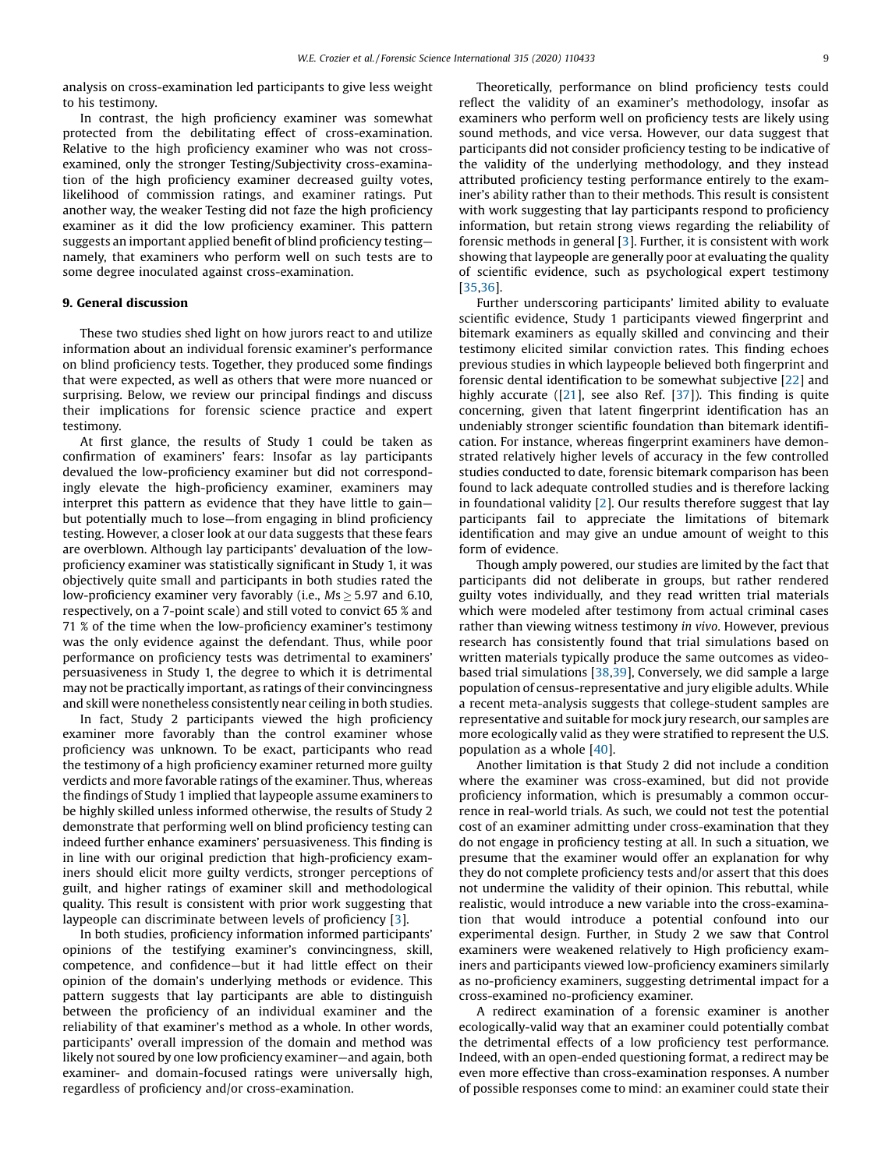analysis on cross-examination led participants to give less weight to his testimony.

In contrast, the high proficiency examiner was somewhat protected from the debilitating effect of cross-examination. Relative to the high proficiency examiner who was not crossexamined, only the stronger Testing/Subjectivity cross-examination of the high proficiency examiner decreased guilty votes, likelihood of commission ratings, and examiner ratings. Put another way, the weaker Testing did not faze the high proficiency examiner as it did the low proficiency examiner. This pattern suggests an important applied benefit of blind proficiency testing namely, that examiners who perform well on such tests are to some degree inoculated against cross-examination.

#### 9. General discussion

These two studies shed light on how jurors react to and utilize information about an individual forensic examiner's performance on blind proficiency tests. Together, they produced some findings that were expected, as well as others that were more nuanced or surprising. Below, we review our principal findings and discuss their implications for forensic science practice and expert testimony.

At first glance, the results of Study 1 could be taken as confirmation of examiners' fears: Insofar as lay participants devalued the low-proficiency examiner but did not correspondingly elevate the high-proficiency examiner, examiners may interpret this pattern as evidence that they have little to gain but potentially much to lose—from engaging in blind proficiency testing. However, a closer look at our data suggests that these fears are overblown. Although lay participants' devaluation of the lowproficiency examiner was statistically significant in Study 1, it was objectively quite small and participants in both studies rated the low-proficiency examiner very favorably (i.e.,  $Ms > 5.97$  and 6.10, respectively, on a 7-point scale) and still voted to convict 65 % and 71 % of the time when the low-proficiency examiner's testimony was the only evidence against the defendant. Thus, while poor performance on proficiency tests was detrimental to examiners' persuasiveness in Study 1, the degree to which it is detrimental may not be practically important, as ratings of their convincingness and skill were nonetheless consistently near ceiling in both studies.

In fact, Study 2 participants viewed the high proficiency examiner more favorably than the control examiner whose proficiency was unknown. To be exact, participants who read the testimony of a high proficiency examiner returned more guilty verdicts and more favorable ratings of the examiner. Thus, whereas the findings of Study 1 implied that laypeople assume examiners to be highly skilled unless informed otherwise, the results of Study 2 demonstrate that performing well on blind proficiency testing can indeed further enhance examiners' persuasiveness. This finding is in line with our original prediction that high-proficiency examiners should elicit more guilty verdicts, stronger perceptions of guilt, and higher ratings of examiner skill and methodological quality. This result is consistent with prior work suggesting that laypeople can discriminate between levels of proficiency [[3\]](#page-9-0).

In both studies, proficiency information informed participants' opinions of the testifying examiner's convincingness, skill, competence, and confidence—but it had little effect on their opinion of the domain's underlying methods or evidence. This pattern suggests that lay participants are able to distinguish between the proficiency of an individual examiner and the reliability of that examiner's method as a whole. In other words, participants' overall impression of the domain and method was likely not soured by one low proficiency examiner—and again, both examiner- and domain-focused ratings were universally high, regardless of proficiency and/or cross-examination.

Theoretically, performance on blind proficiency tests could reflect the validity of an examiner's methodology, insofar as examiners who perform well on proficiency tests are likely using sound methods, and vice versa. However, our data suggest that participants did not consider proficiency testing to be indicative of the validity of the underlying methodology, and they instead attributed proficiency testing performance entirely to the examiner's ability rather than to their methods. This result is consistent with work suggesting that lay participants respond to proficiency information, but retain strong views regarding the reliability of forensic methods in general [\[3](#page-9-0)]. Further, it is consistent with work showing that laypeople are generally poor at evaluating the quality of scientific evidence, such as psychological expert testimony [\[35,36](#page-10-0)].

Further underscoring participants' limited ability to evaluate scientific evidence, Study 1 participants viewed fingerprint and bitemark examiners as equally skilled and convincing and their testimony elicited similar conviction rates. This finding echoes previous studies in which laypeople believed both fingerprint and forensic dental identification to be somewhat subjective [[22\]](#page-10-0) and highly accurate ([\[21\]](#page-10-0), see also Ref. [[37](#page-10-0)]). This finding is quite concerning, given that latent fingerprint identification has an undeniably stronger scientific foundation than bitemark identification. For instance, whereas fingerprint examiners have demonstrated relatively higher levels of accuracy in the few controlled studies conducted to date, forensic bitemark comparison has been found to lack adequate controlled studies and is therefore lacking in foundational validity [[2\]](#page-9-0). Our results therefore suggest that lay participants fail to appreciate the limitations of bitemark identification and may give an undue amount of weight to this form of evidence.

Though amply powered, our studies are limited by the fact that participants did not deliberate in groups, but rather rendered guilty votes individually, and they read written trial materials which were modeled after testimony from actual criminal cases rather than viewing witness testimony in vivo. However, previous research has consistently found that trial simulations based on written materials typically produce the same outcomes as videobased trial simulations [\[38,39](#page-10-0)], Conversely, we did sample a large population of census-representative and jury eligible adults. While a recent meta-analysis suggests that college-student samples are representative and suitable for mock jury research, our samples are more ecologically valid as they were stratified to represent the U.S. population as a whole [\[40\]](#page-10-0).

Another limitation is that Study 2 did not include a condition where the examiner was cross-examined, but did not provide proficiency information, which is presumably a common occurrence in real-world trials. As such, we could not test the potential cost of an examiner admitting under cross-examination that they do not engage in proficiency testing at all. In such a situation, we presume that the examiner would offer an explanation for why they do not complete proficiency tests and/or assert that this does not undermine the validity of their opinion. This rebuttal, while realistic, would introduce a new variable into the cross-examination that would introduce a potential confound into our experimental design. Further, in Study 2 we saw that Control examiners were weakened relatively to High proficiency examiners and participants viewed low-proficiency examiners similarly as no-proficiency examiners, suggesting detrimental impact for a cross-examined no-proficiency examiner.

A redirect examination of a forensic examiner is another ecologically-valid way that an examiner could potentially combat the detrimental effects of a low proficiency test performance. Indeed, with an open-ended questioning format, a redirect may be even more effective than cross-examination responses. A number of possible responses come to mind: an examiner could state their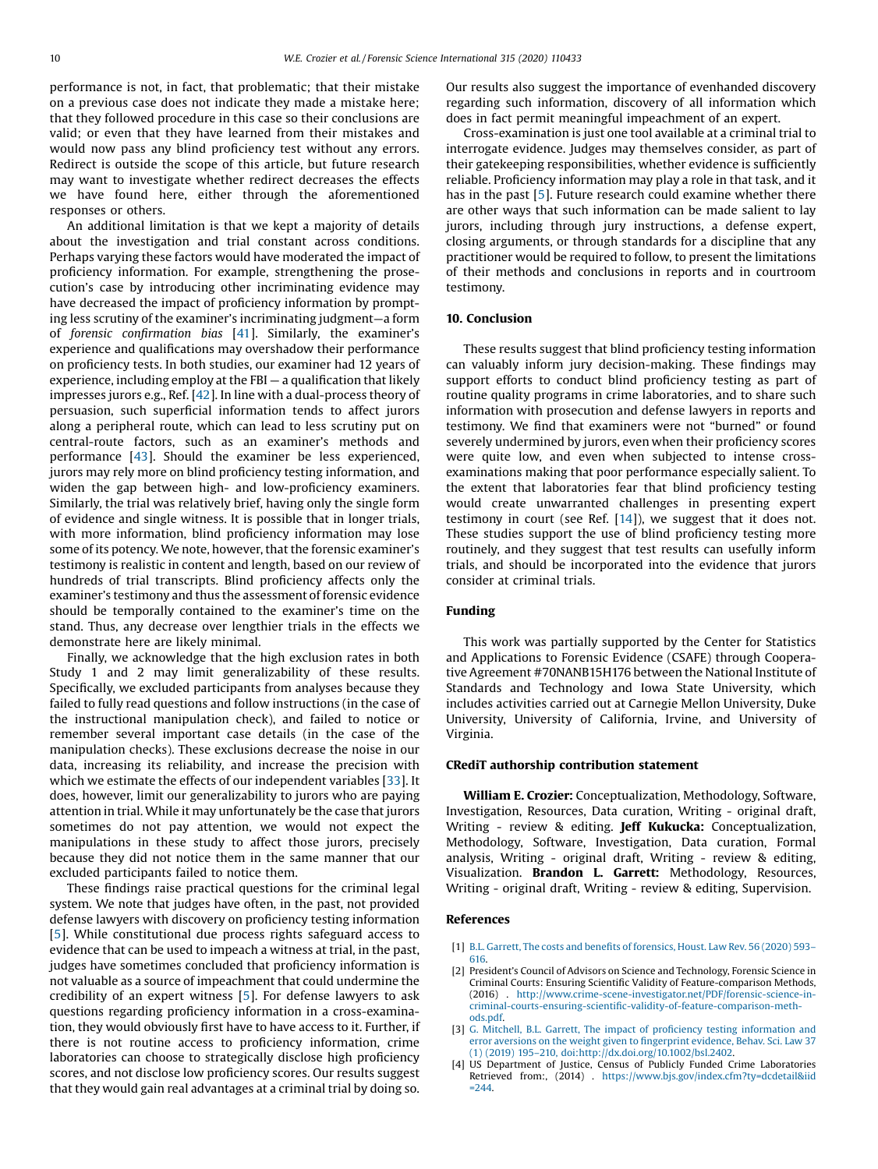<span id="page-9-0"></span>performance is not, in fact, that problematic; that their mistake on a previous case does not indicate they made a mistake here; that they followed procedure in this case so their conclusions are valid; or even that they have learned from their mistakes and would now pass any blind proficiency test without any errors. Redirect is outside the scope of this article, but future research may want to investigate whether redirect decreases the effects we have found here, either through the aforementioned responses or others.

An additional limitation is that we kept a majority of details about the investigation and trial constant across conditions. Perhaps varying these factors would have moderated the impact of proficiency information. For example, strengthening the prosecution's case by introducing other incriminating evidence may have decreased the impact of proficiency information by prompting less scrutiny of the examiner's incriminating judgment—a form of forensic confirmation bias [[41](#page-10-0)]. Similarly, the examiner's experience and qualifications may overshadow their performance on proficiency tests. In both studies, our examiner had 12 years of experience, including employ at the FBI — a qualification that likely impresses jurors e.g., Ref. [\[42\]](#page-10-0). In line with a dual-process theory of persuasion, such superficial information tends to affect jurors along a peripheral route, which can lead to less scrutiny put on central-route factors, such as an examiner's methods and performance [[43\]](#page-10-0). Should the examiner be less experienced, jurors may rely more on blind proficiency testing information, and widen the gap between high- and low-proficiency examiners. Similarly, the trial was relatively brief, having only the single form of evidence and single witness. It is possible that in longer trials, with more information, blind proficiency information may lose some of its potency. We note, however, that the forensic examiner's testimony is realistic in content and length, based on our review of hundreds of trial transcripts. Blind proficiency affects only the examiner's testimony and thus the assessment of forensic evidence should be temporally contained to the examiner's time on the stand. Thus, any decrease over lengthier trials in the effects we demonstrate here are likely minimal.

Finally, we acknowledge that the high exclusion rates in both Study 1 and 2 may limit generalizability of these results. Specifically, we excluded participants from analyses because they failed to fully read questions and follow instructions (in the case of the instructional manipulation check), and failed to notice or remember several important case details (in the case of the manipulation checks). These exclusions decrease the noise in our data, increasing its reliability, and increase the precision with which we estimate the effects of our independent variables [\[33](#page-10-0)]. It does, however, limit our generalizability to jurors who are paying attention in trial. While it may unfortunately be the case that jurors sometimes do not pay attention, we would not expect the manipulations in these study to affect those jurors, precisely because they did not notice them in the same manner that our excluded participants failed to notice them.

These findings raise practical questions for the criminal legal system. We note that judges have often, in the past, not provided defense lawyers with discovery on proficiency testing information [[5](#page-10-0)]. While constitutional due process rights safeguard access to evidence that can be used to impeach a witness at trial, in the past, judges have sometimes concluded that proficiency information is not valuable as a source of impeachment that could undermine the credibility of an expert witness [[5\]](#page-10-0). For defense lawyers to ask questions regarding proficiency information in a cross-examination, they would obviously first have to have access to it. Further, if there is not routine access to proficiency information, crime laboratories can choose to strategically disclose high proficiency scores, and not disclose low proficiency scores. Our results suggest that they would gain real advantages at a criminal trial by doing so.

Our results also suggest the importance of evenhanded discovery regarding such information, discovery of all information which does in fact permit meaningful impeachment of an expert.

Cross-examination is just one tool available at a criminal trial to interrogate evidence. Judges may themselves consider, as part of their gatekeeping responsibilities, whether evidence is sufficiently reliable. Proficiency information may play a role in that task, and it has in the past [\[5](#page-10-0)]. Future research could examine whether there are other ways that such information can be made salient to lay jurors, including through jury instructions, a defense expert, closing arguments, or through standards for a discipline that any practitioner would be required to follow, to present the limitations of their methods and conclusions in reports and in courtroom testimony.

#### 10. Conclusion

These results suggest that blind proficiency testing information can valuably inform jury decision-making. These findings may support efforts to conduct blind proficiency testing as part of routine quality programs in crime laboratories, and to share such information with prosecution and defense lawyers in reports and testimony. We find that examiners were not "burned" or found severely undermined by jurors, even when their proficiency scores were quite low, and even when subjected to intense crossexaminations making that poor performance especially salient. To the extent that laboratories fear that blind proficiency testing would create unwarranted challenges in presenting expert testimony in court (see Ref. [\[14](#page-10-0)]), we suggest that it does not. These studies support the use of blind proficiency testing more routinely, and they suggest that test results can usefully inform trials, and should be incorporated into the evidence that jurors consider at criminal trials.

# Funding

This work was partially supported by the Center for Statistics and Applications to Forensic Evidence (CSAFE) through Cooperative Agreement #70NANB15H176 between the National Institute of Standards and Technology and Iowa State University, which includes activities carried out at Carnegie Mellon University, Duke University, University of California, Irvine, and University of Virginia.

#### CRediT authorship contribution statement

William E. Crozier: Conceptualization, Methodology, Software, Investigation, Resources, Data curation, Writing - original draft, Writing - review & editing. Jeff Kukucka: Conceptualization, Methodology, Software, Investigation, Data curation, Formal analysis, Writing - original draft, Writing - review & editing, Visualization. Brandon L. Garrett: Methodology, Resources, Writing - original draft, Writing - review & editing, Supervision.

#### References

- [1] B.L. Garrett, The costs and benefits of [forensics,](http://refhub.elsevier.com/S0379-0738(20)30295-4/sbref0005) Houst. Law Rev. 56 (2020) 593–
	- [616](http://refhub.elsevier.com/S0379-0738(20)30295-4/sbref0005).
- [2] President's Council of Advisors on Science and Technology, Forensic Science in Criminal Courts: Ensuring Scientific Validity of Feature-comparison Methods, (2016) . [http://www.crime-scene-investigator.net/PDF/forensic-science-in](http://www.crime-scene-investigator.net/PDF/forensic-science-in-criminal-courts-ensuring-scientific-validity-of-feature-comparison-methods.pdf)criminal-courts-ensuring-scientifi[c-validity-of-feature-comparison-meth](http://www.crime-scene-investigator.net/PDF/forensic-science-in-criminal-courts-ensuring-scientific-validity-of-feature-comparison-methods.pdf)[ods.pdf.](http://www.crime-scene-investigator.net/PDF/forensic-science-in-criminal-courts-ensuring-scientific-validity-of-feature-comparison-methods.pdf)
- [3] G. Mitchell, B.L. Garrett, The impact of proficiency testing [information](http://refhub.elsevier.com/S0379-0738(20)30295-4/sbref0015) and error aversions on the weight given to fi[ngerprint](http://refhub.elsevier.com/S0379-0738(20)30295-4/sbref0015) evidence, Behav. Sci. Law 37 (1) (2019) 195–210, [doi:http://dx.doi.org/10.1002/bsl.2402.](http://refhub.elsevier.com/S0379-0738(20)30295-4/sbref0015)
- [4] US Department of Justice, Census of Publicly Funded Crime Laboratories Retrieved from:, (2014) . [https://www.bjs.gov/index.cfm?ty=dcdetail&iid](https://www.bjs.gov/index.cfm?ty=dcdetail%26iid=244)  $=244.$